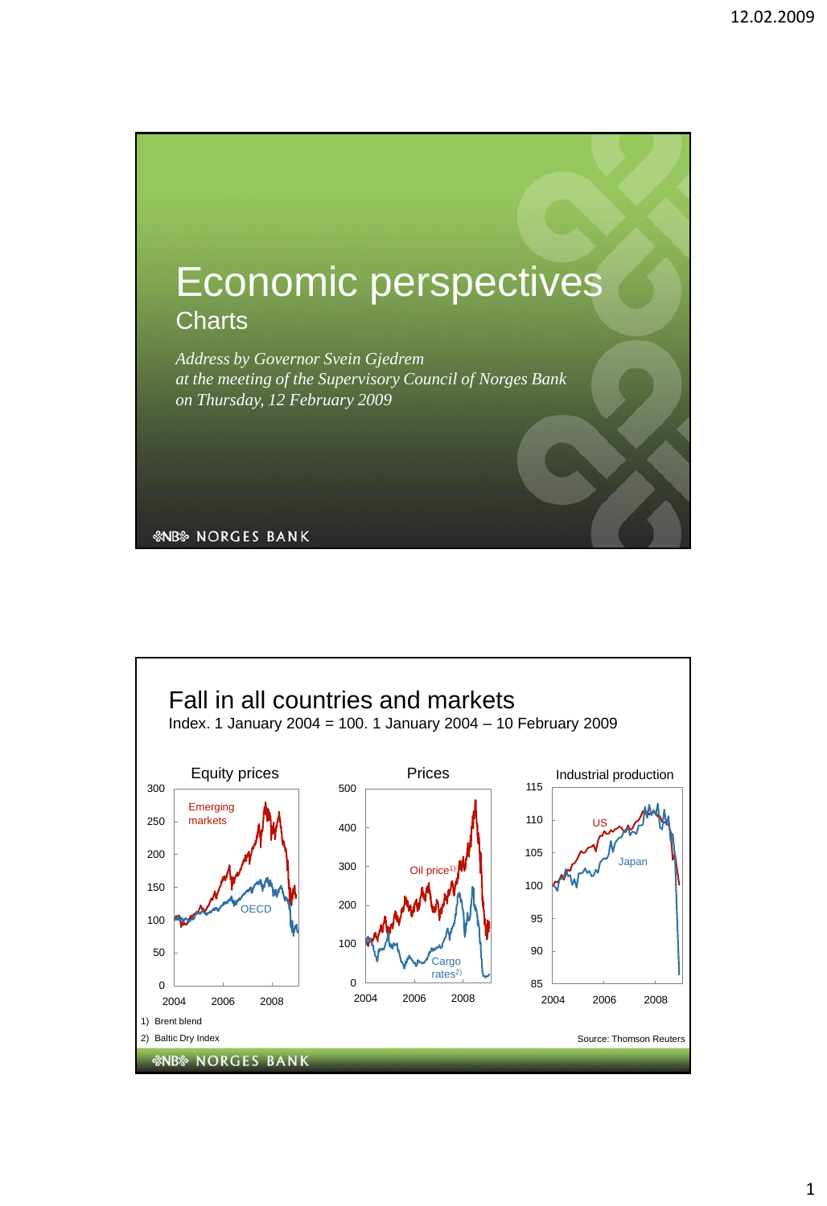

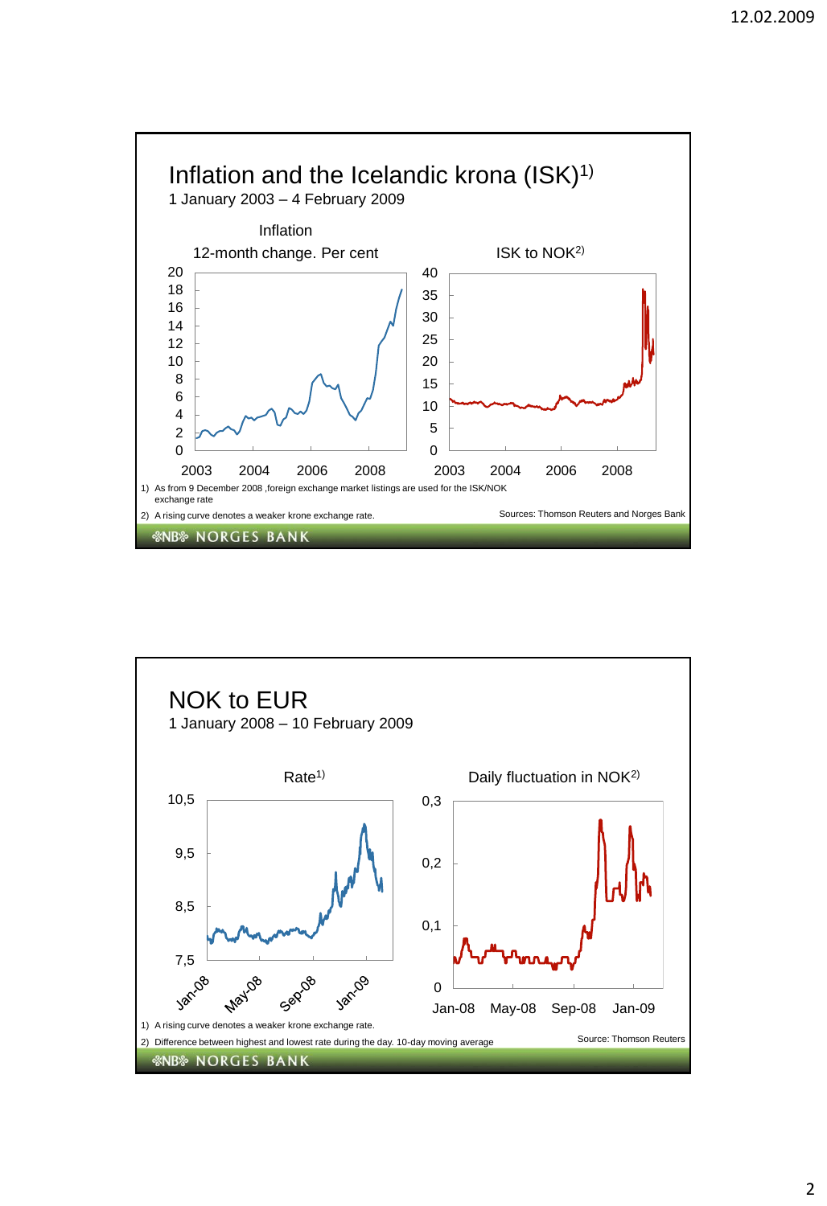

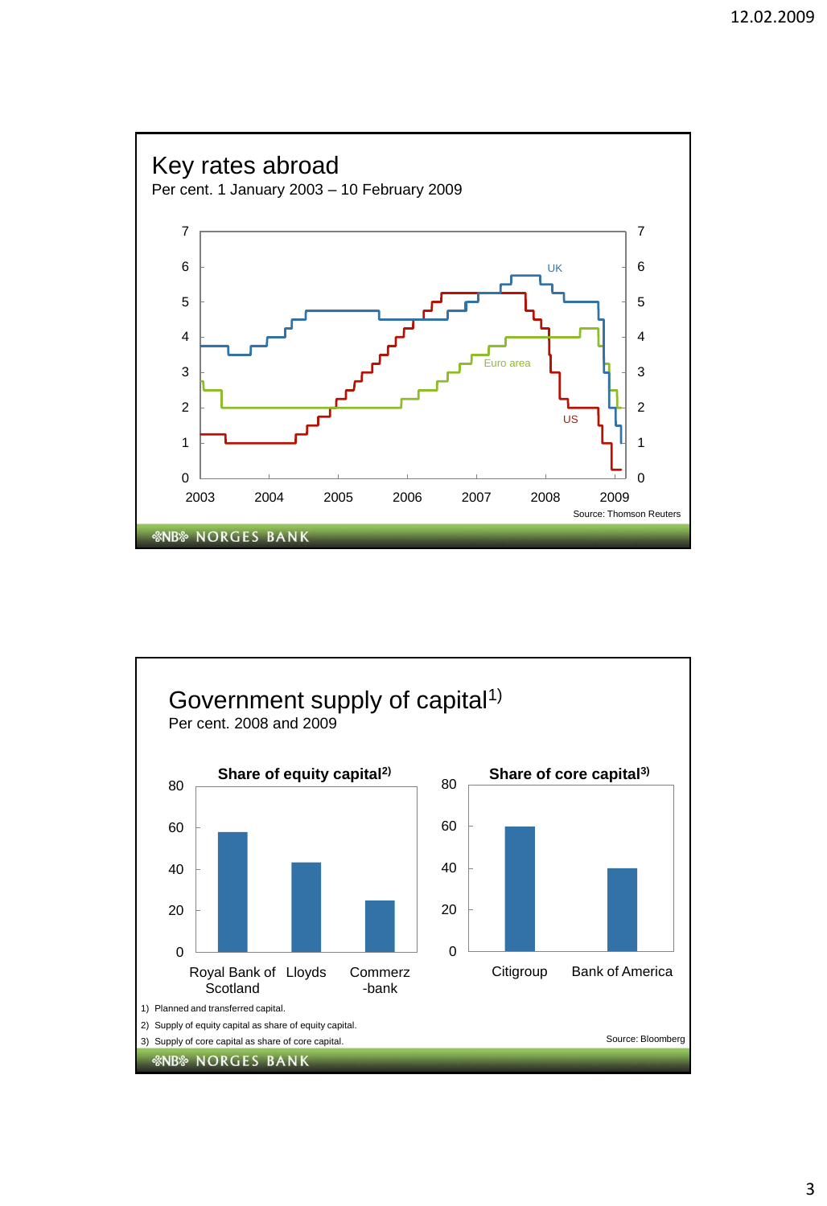

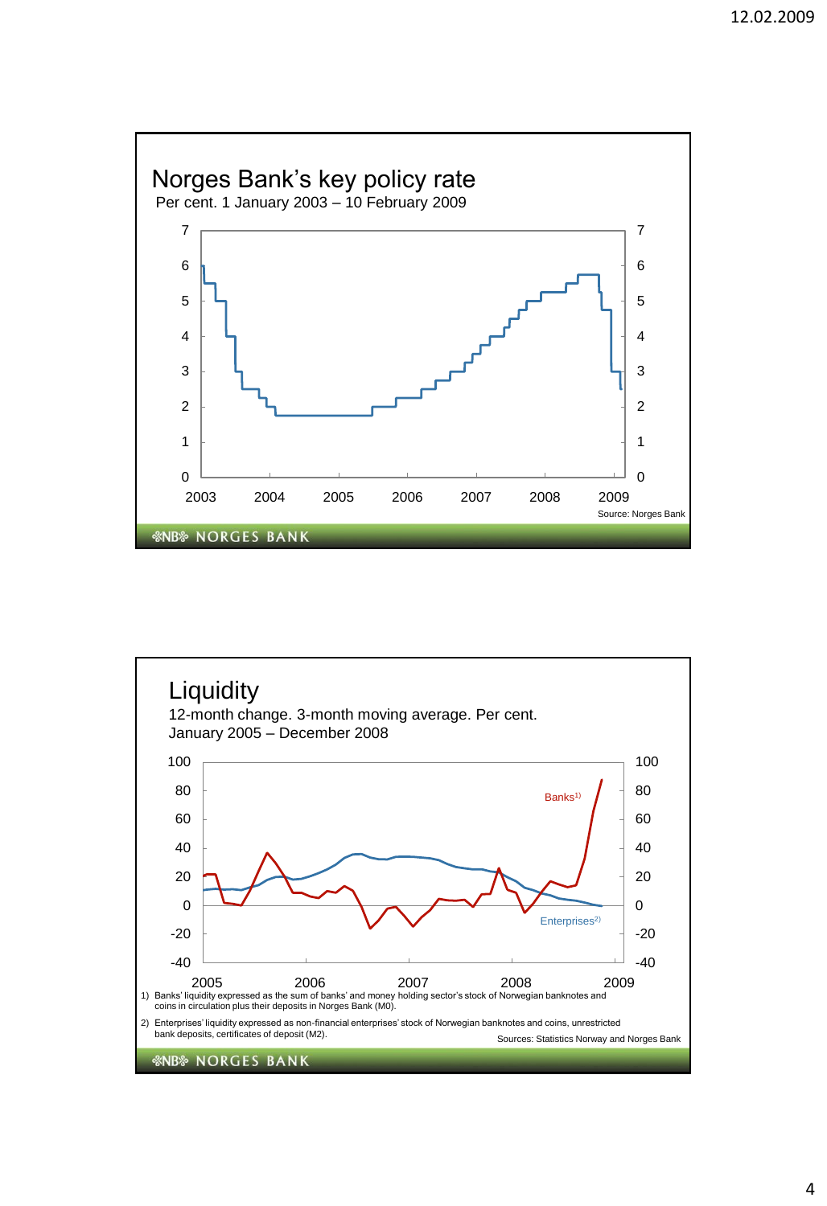

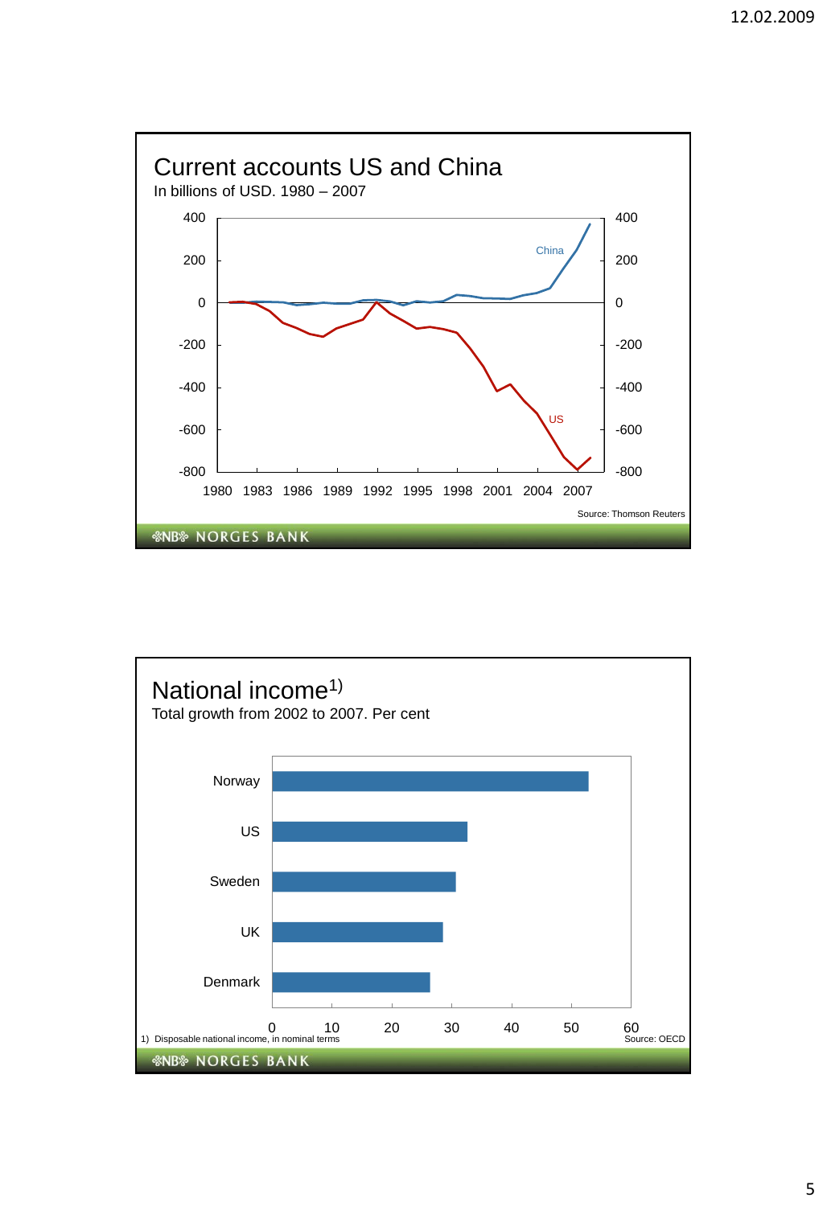

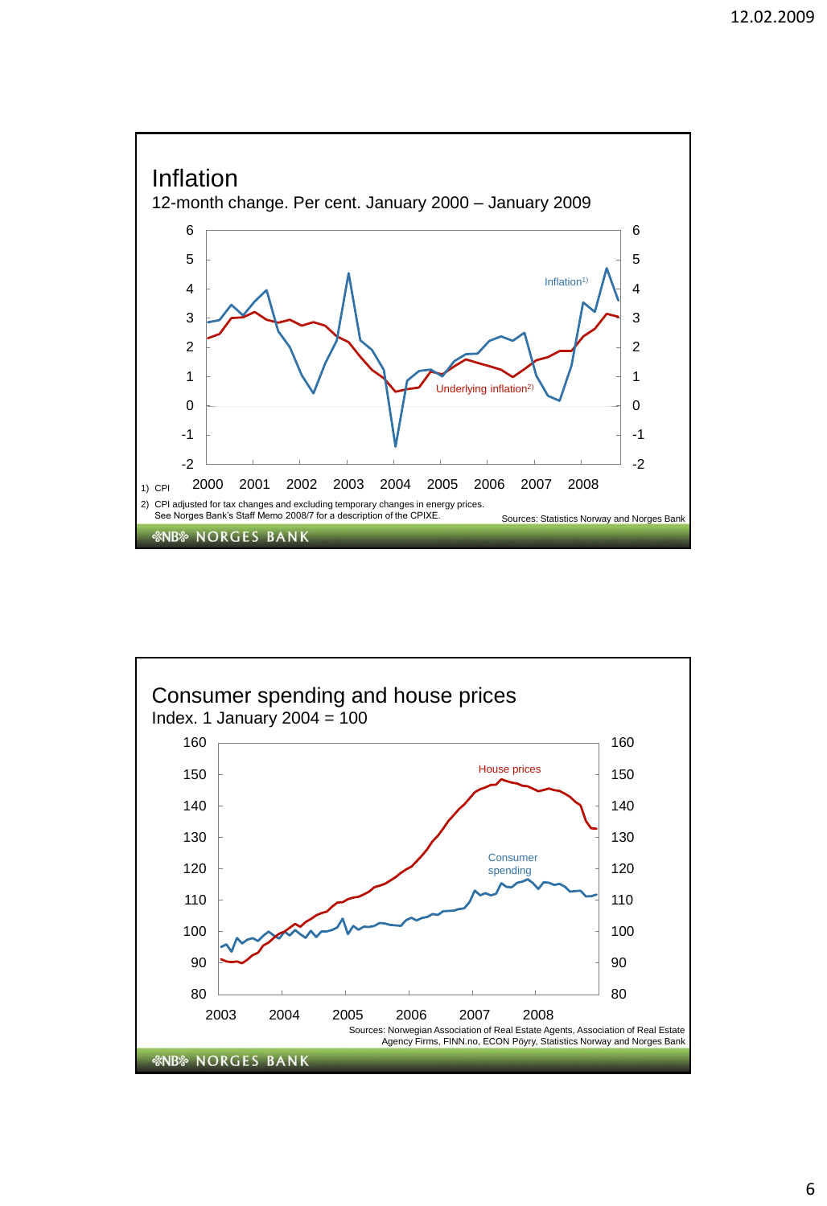

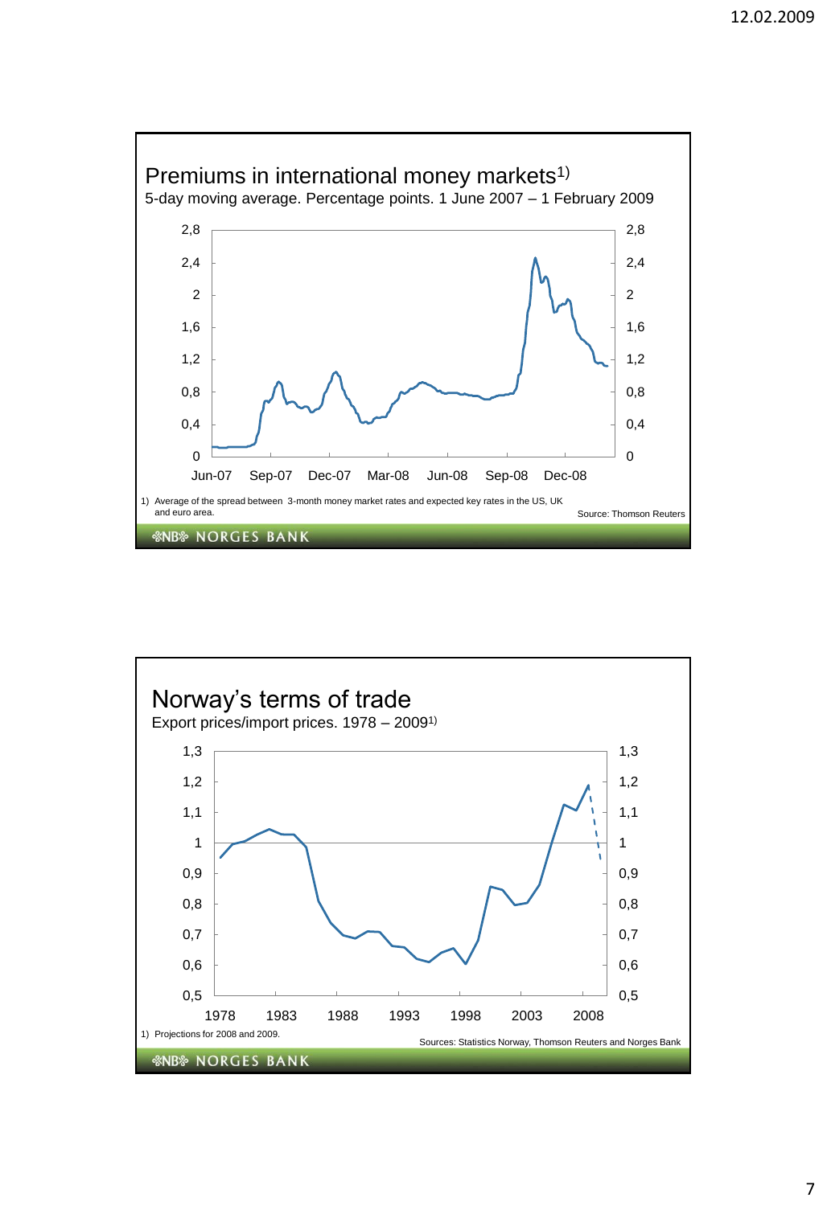

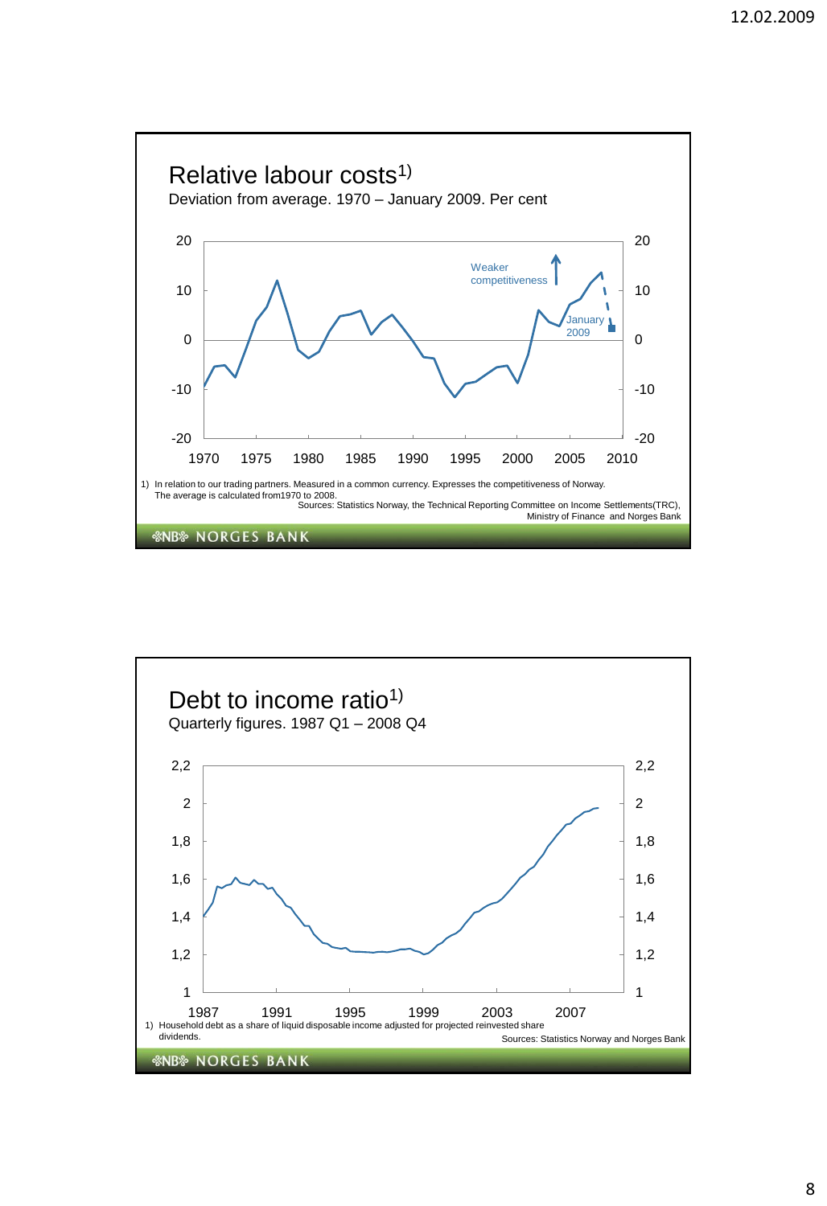

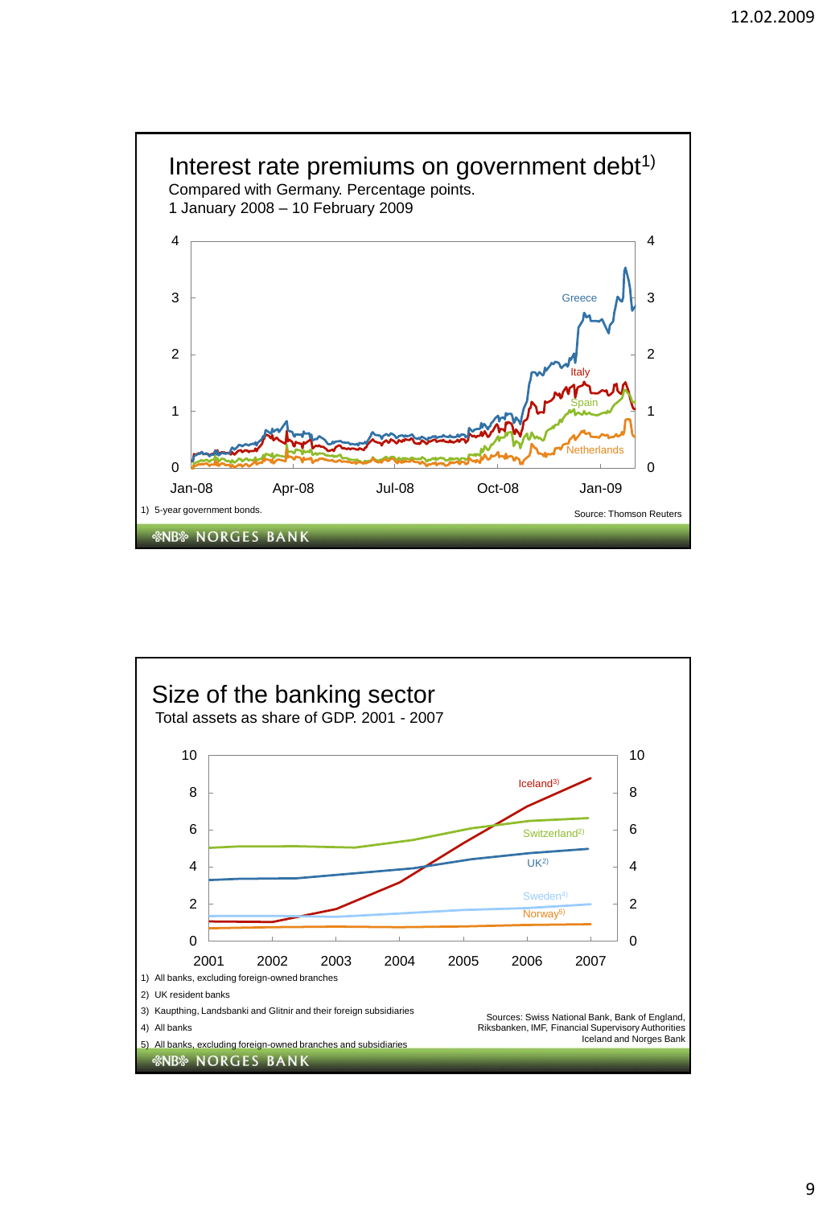

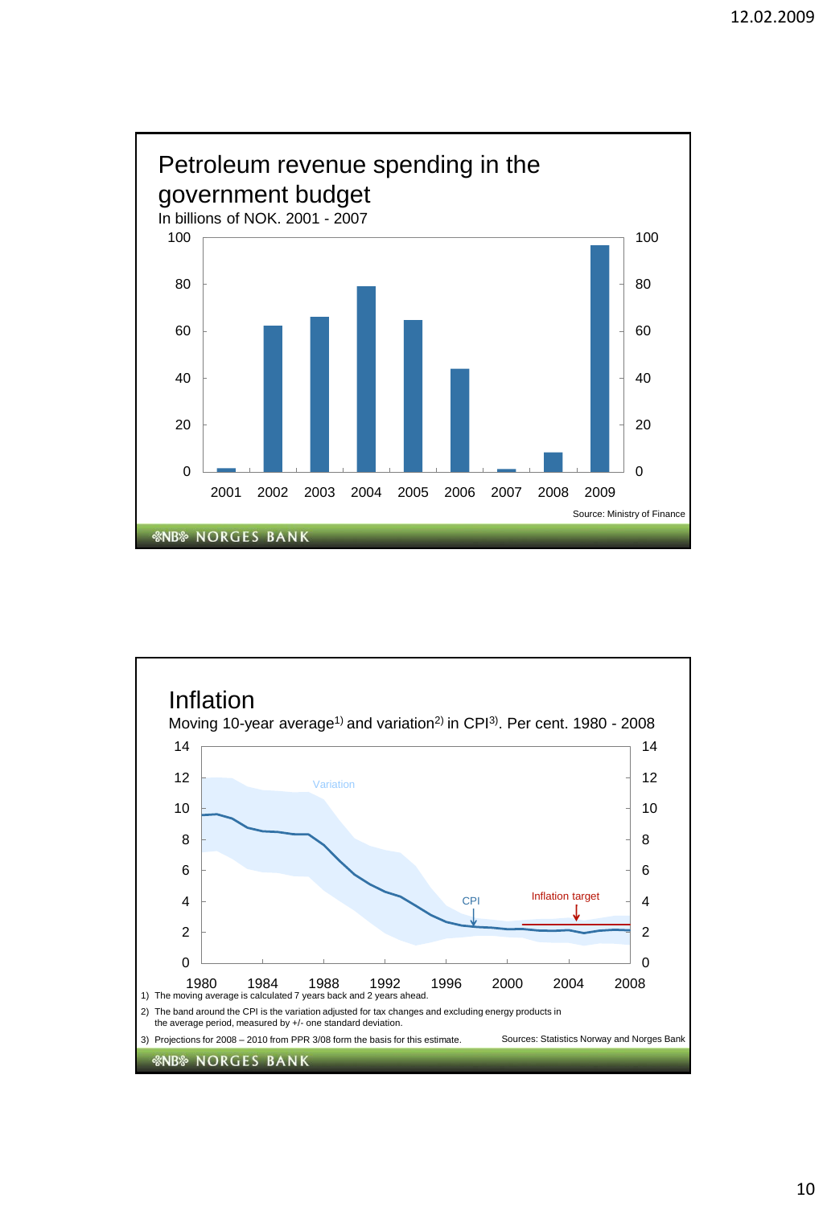

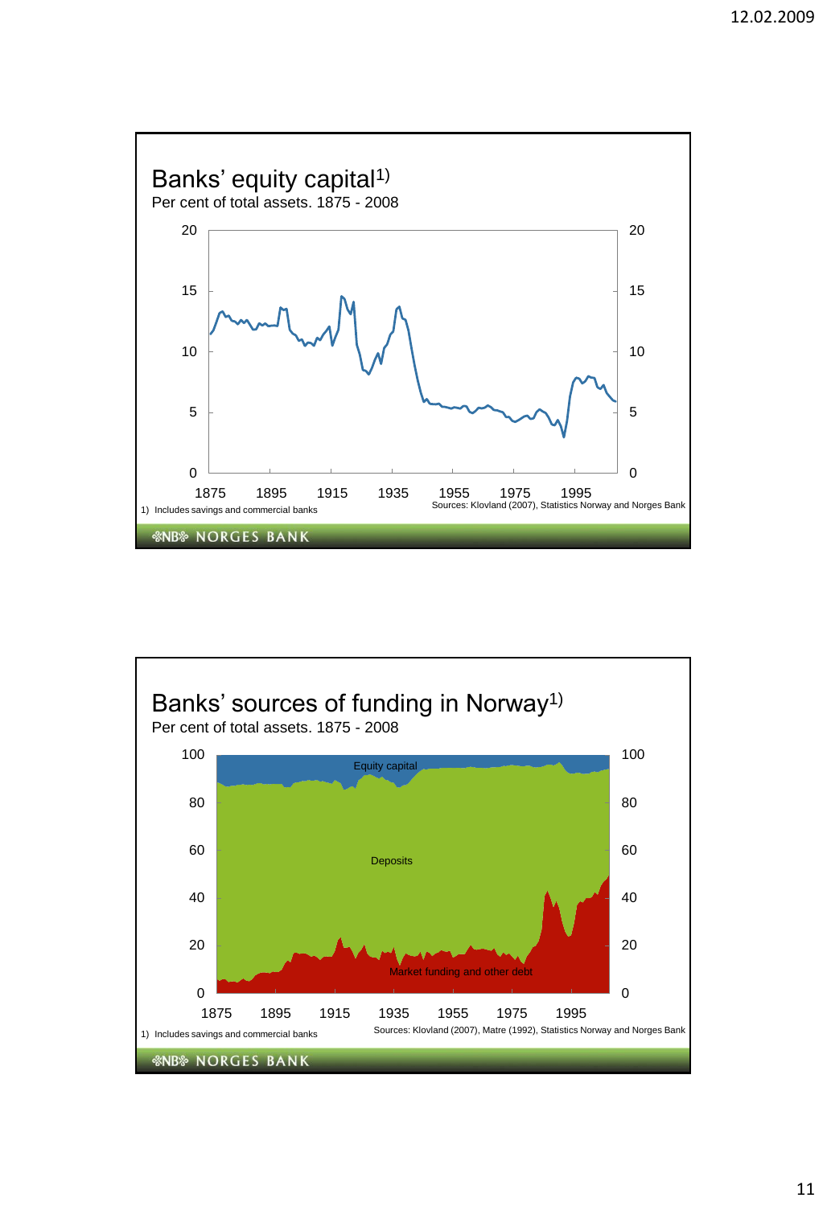